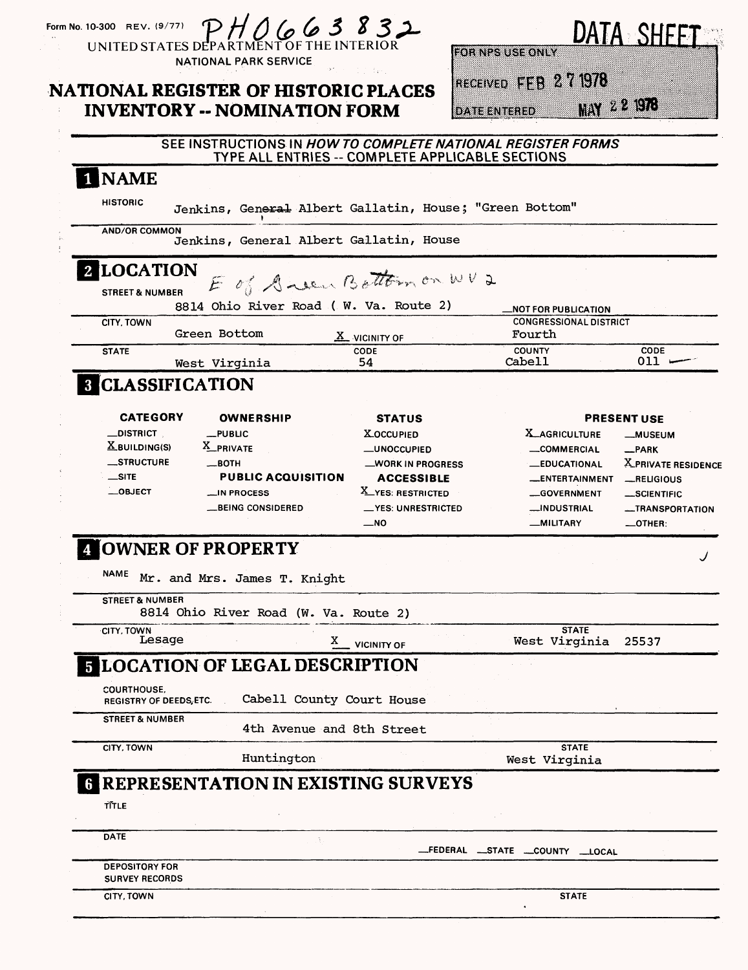|                                                                                                                                                                                        | <b>INVENTORY -- NOMINATION FORM</b>                                                                                                                                                                                                  | <b>NATIONAL REGISTER OF HISTORIC PLACES</b>                                                                                                                                                                      | RECEIVED FFB 271978<br><b>DATE ENTERED</b>                                       | MAY 22 1978                                                                                                                                                                                                         |
|----------------------------------------------------------------------------------------------------------------------------------------------------------------------------------------|--------------------------------------------------------------------------------------------------------------------------------------------------------------------------------------------------------------------------------------|------------------------------------------------------------------------------------------------------------------------------------------------------------------------------------------------------------------|----------------------------------------------------------------------------------|---------------------------------------------------------------------------------------------------------------------------------------------------------------------------------------------------------------------|
|                                                                                                                                                                                        |                                                                                                                                                                                                                                      | SEE INSTRUCTIONS IN HOW TO COMPLETE NATIONAL REGISTER FORMS<br>TYPE ALL ENTRIES -- COMPLETE APPLICABLE SECTIONS                                                                                                  |                                                                                  |                                                                                                                                                                                                                     |
| 1 NAME                                                                                                                                                                                 |                                                                                                                                                                                                                                      |                                                                                                                                                                                                                  |                                                                                  |                                                                                                                                                                                                                     |
| <b>HISTORIC</b>                                                                                                                                                                        |                                                                                                                                                                                                                                      | Jenkins, General Albert Gallatin, House; "Green Bottom"                                                                                                                                                          |                                                                                  |                                                                                                                                                                                                                     |
| <b>AND/OR COMMON</b>                                                                                                                                                                   |                                                                                                                                                                                                                                      | Jenkins, General Albert Gallatin, House                                                                                                                                                                          |                                                                                  |                                                                                                                                                                                                                     |
| <b>2 LOCATION</b><br><b>STREET &amp; NUMBER</b>                                                                                                                                        |                                                                                                                                                                                                                                      | E of Anew Bottom on WV2                                                                                                                                                                                          |                                                                                  |                                                                                                                                                                                                                     |
| CITY, TOWN                                                                                                                                                                             | Green Bottom                                                                                                                                                                                                                         | 8814 Ohio River Road ( W. Va. Route 2)<br>$\underline{X}$ vicinity of                                                                                                                                            | _NOT FOR PUBLICATION<br>Fourth                                                   | <b>CONGRESSIONAL DISTRICT</b>                                                                                                                                                                                       |
| <b>STATE</b>                                                                                                                                                                           | West Virginia                                                                                                                                                                                                                        | CODE<br>54                                                                                                                                                                                                       | <b>COUNTY</b><br>Cabell                                                          | <b>CODE</b><br>$011$ .                                                                                                                                                                                              |
|                                                                                                                                                                                        | <b>8 CLASSIFICATION</b>                                                                                                                                                                                                              |                                                                                                                                                                                                                  |                                                                                  |                                                                                                                                                                                                                     |
| <b>CATEGORY</b><br>$\_$ district $\_$<br>$\underline{X}$ BUILDING(S)<br>_STRUCTURE<br>$\equiv$ SITE<br>$-$ OBJECT<br><b>NAME</b><br><b>STREET &amp; NUMBER</b><br>CITY, TOWN<br>Lesage | <b>OWNERSHIP</b><br>$-$ PUBLIC<br>X_PRIVATE<br>—вотн<br><b>PUBLIC ACQUISITION</b><br><b>LIN PROCESS</b><br>__BEING CONSIDERED<br><b>4 OWNER OF PROPERTY</b><br>Mr. and Mrs. James T. Knight<br>8814 Ohio River Road (W. Va. Route 2) | <b>STATUS</b><br><b>X_OCCUPIED</b><br><b>__UNOCCUPIED</b><br>_WORK IN PROGRESS<br><b>ACCESSIBLE</b><br>X_YES: RESTRICTED<br><u>— YES: UNRESTRICTED</u><br>$\overline{\phantom{0}}$ NO<br>X<br><b>VICINITY OF</b> | <b>X_AGRICULTURE</b><br>COMMERCIAL<br>__INDUSTRIAL<br>-MILITARY<br>West Virginia | <b>PRESENT USE</b><br>-MUSEUM<br>$-PARK$<br>X_PRIVATE RESIDENCE<br><b>LEDUCATIONAL</b><br>_ENTERTAINMENT _RELIGIOUS<br>-GOVERNMENT<br><b>_SCIENTIFIC</b><br>-TRANSPORTATION<br>$\_$ OTHER:<br><b>STATE</b><br>25537 |
| <b>COURTHOUSE,</b><br>REGISTRY OF DEEDS, ETC.<br><b>STREET &amp; NUMBER</b>                                                                                                            | <b>FLOCATION OF LEGAL DESCRIPTION</b>                                                                                                                                                                                                | Cabell County Court House                                                                                                                                                                                        |                                                                                  |                                                                                                                                                                                                                     |
| CITY, TOWN                                                                                                                                                                             | Huntington                                                                                                                                                                                                                           | 4th Avenue and 8th Street                                                                                                                                                                                        | West Virginia                                                                    | <b>STATE</b>                                                                                                                                                                                                        |
| TITLE                                                                                                                                                                                  |                                                                                                                                                                                                                                      | <b>REPRESENTATION IN EXISTING SURVEYS</b>                                                                                                                                                                        |                                                                                  |                                                                                                                                                                                                                     |
|                                                                                                                                                                                        |                                                                                                                                                                                                                                      |                                                                                                                                                                                                                  |                                                                                  |                                                                                                                                                                                                                     |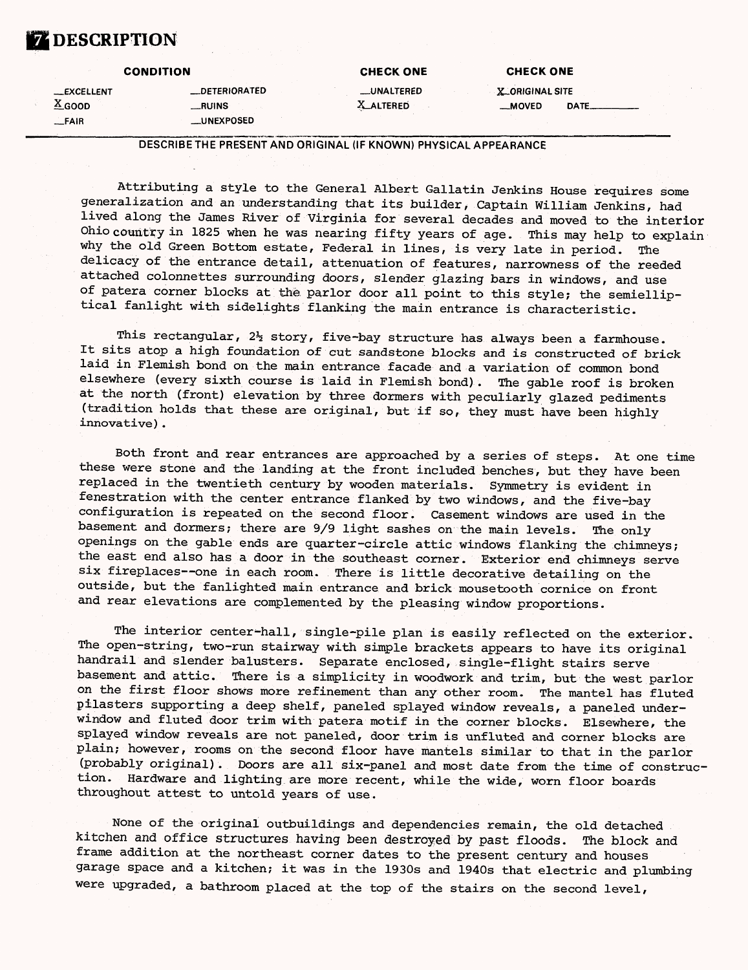## **DESCRIPTION**

|                                                 | <b>CONDITION</b>                                      | <b>CHECK ONE</b>               | <b>CHECK ONE</b>                                  |
|-------------------------------------------------|-------------------------------------------------------|--------------------------------|---------------------------------------------------|
| <b>EXCELLENT</b><br>$\triangle$ GOOD<br>$-FAIR$ | <b>LDETERIORATED</b><br>__RUINS·<br><b>LUNEXPOSED</b> | _UNALTERED<br><b>X_ALTERED</b> | <b>X_ORIGINAL SITE</b><br>$-MOVED$<br><b>DATE</b> |

DESCRIBE THE PRESENT AND ORIGINAL (IF KNOWN) PHYSICAL APPEARANCE

Attributing a style to the General Albert Gallatin Jenkins House requires some generalization and an understanding that its builder, Captain William Jenkins, had lived along the James River of Virginia for several decades and moved to the interior Ohio country in 1825 when he was nearing fifty years of age. This may help to explain why the old Green Bottom estate, Federal in lines, is very late in period. The delicacy of the entrance detail, attenuation of features, narrowness of the reeded attached colonnettes surrounding doors, slender glazing bars in windows, and use of patera corner blocks at the parlor door all point to this style; the semielliptical fanlight with sidelights flanking the main entrance is characteristic.

This rectangular,  $2\frac{1}{2}$  story, five-bay structure has always been a farmhouse. It sits atop a high foundation of cut sandstone blocks and is constructed of brick laid in Flemish bond on the main entrance facade and a variation of common bond elsewhere (every sixth course is laid in Flemish bond). The gable roof is broken at the north (front) elevation by three dormers with peculiarly glazed pediments (tradition holds that these are original, but if so, they must have been highly innovative).

Both front and rear entrances are approached by a series of steps. At one time these were stone and the landing at the front included benches, but they have been replaced in the twentieth century by wooden materials. Symmetry is evident in fenestration with the center entrance flanked by two windows, and the five-bay configuration is repeated on the second floor. Casement windows are used in the basement and dormers; there are 9/9 light sashes on the main levels. The only openings on the gable ends are quarter-circle attic windows flanking the chimneys; the east end also has a door in the southeast corner. Exterior end chimneys serve six fireplaces--one in each room. There is little decorative detailing on the outside, but the fanlighted main entrance and brick mousetooth cornice on front and rear elevations are complemented by the pleasing window proportions.

The interior center-hall, single-pile plan is easily reflected on the exterior. The open-string, two-run stairway with simple brackets appears to have its original handrail and slender balusters. Separate enclosed, single-flight stairs serve basement and attic. There is a simplicity in woodwork and trim, but the west parlor on the first floor shows more refinement than any other room. The mantel has fluted pilasters supporting a deep shelf, paneled splayed window reveals, a paneled underwindow and fluted door trim with patera motif in the corner blocks. Elsewhere, the splayed window reveals are not paneled, door trim is unfluted and corner blocks are plain; however, rooms on the second floor have mantels similar to that in the parlor (probably original). Doors are all six-panel and most date from the time of construction. Hardware and lighting are more recent, while the wide, worn floor boards throughout attest to untold years of use.

None of the original outbuildings and dependencies remain, the old detached kitchen and office structures having been destroyed by past floods. The block and frame addition at the northeast corner dates to the present century and houses garage space and a kitchen; it was in the 1930s and 1940s that electric and plumbing were upgraded, a bathroom placed at the top of the stairs on the second level,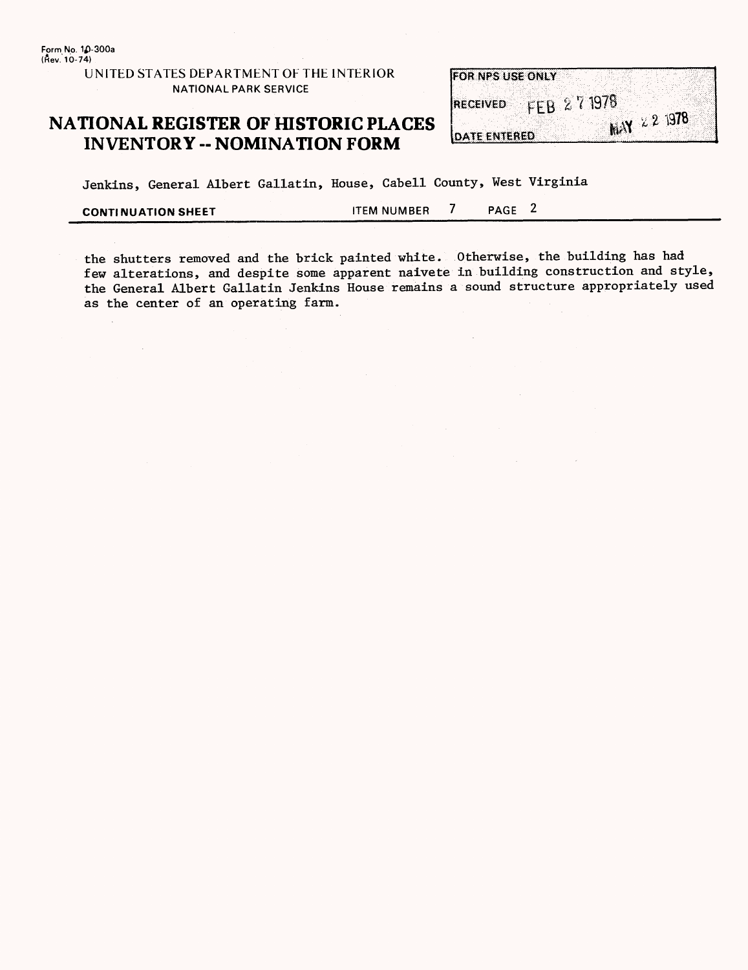## **NATIONAL REGISTER OF HISTORIC PLACES INVENTORY -- NOMINATION FORM**

| <b>FOR NPS USE ONLY</b> |            |                       |
|-------------------------|------------|-----------------------|
|                         |            |                       |
|                         | FEB 271978 |                       |
| <b>RECEIVED</b>         |            |                       |
|                         |            |                       |
|                         |            | <b>MAY</b> $2.2$ 1978 |
| <b>DATE ENTERED</b>     |            |                       |

Jenkins, General Albert Gallatin, House, Cabell County, West Virginia

**CONTINUATION SHEET** TEM NUMBER 7 PAGE 2

the shutters removed and the brick painted white. Otherwise, the building has had few alterations, and despite some apparent naivete in building construction and style, the General Albert Gallatin Jenkins House remains a sound structure appropriately used as the center of an operating farm.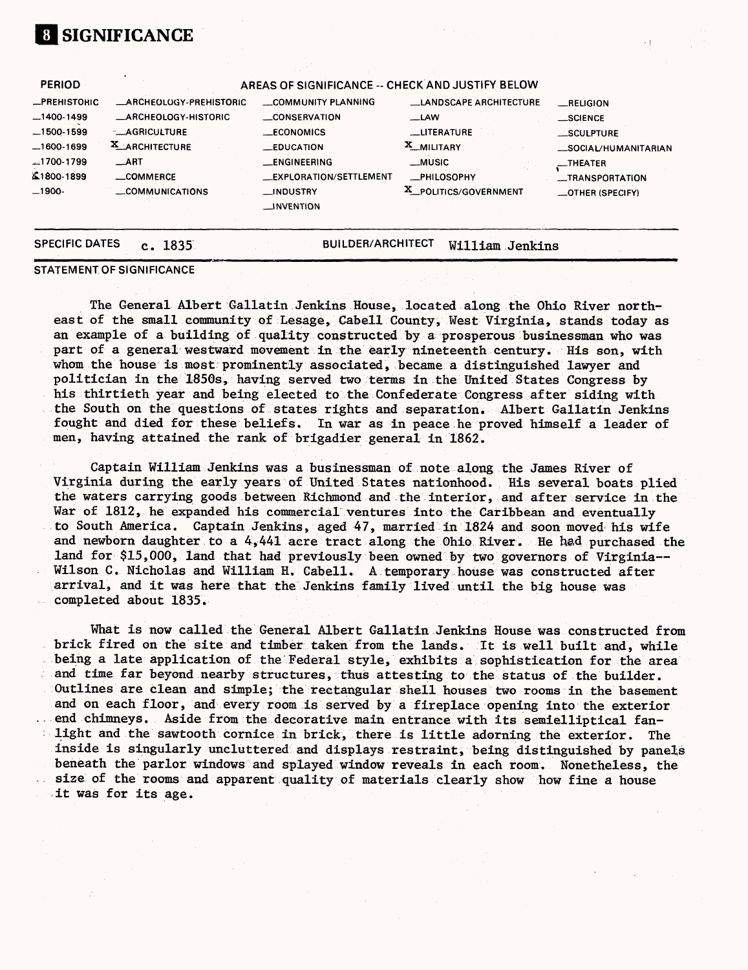#### **PERIOD —PREHISTORIC —1400-1499 —1500-1599 —1600-1699 ^.1700-1799 £.1 \$00-1899 —1900- AREAS OF SIGNIFICANCE - CHECK AND JUSTIFY BELOW \_ARCHEOLOGY-PREHISTORIC —ARCHEOLOGY-HISTORIC —AGRICULTURE 2L\_ARCHITECTURE \_ART —COMMERCE \_COMMUNICATIONS —COMMUNITY PLANNING —CONSERVATION —ECONOMICS —EDUCATION —ENGINEERING —EXPLORATION/SETTLEMENT —INDUSTRY —INVENTION —LANDSCAPE ARCHITECTURE —LAW —LITERATURE X\_MILITARY —MUSIC —PHILOSOPHY x\_ POLITICS/GOVERNMENT —RELIGION —SCIENCE —SCULPTURE —SOCIAL/HUMANITARIAN —THEATER —TRANSPORTATION —OTHER (SPECIFY) SPECIFIC DATES c . 1835** BUILDER/ARCHITECT William Jenkins

×ţ.

#### **STATEMENT OF SIGNIFICANCE**

**01 SIGNIFICANCE**

The General Albert Gallatin Jenkins House, located along the Ohio River northeast of the small community of Lesage, Cabell County, West Virginia, stands today as an example of a building of quality constructed by a prosperous businessman who was part of a general westward movement in the early nineteenth century. His son, with whom the house is most prominently associated, became a distinguished lawyer and politician in the 1850s, having served two terms in the United States Congress by his thirtieth year and being elected to the Confederate Congress after siding with the South on the questions of states rights and separation. Albert Gallatin Jenkins fought and died for these beliefs. In war as in peace he proved himself a leader of men, having attained the rank of brigadier general in 1862.

Captain William Jenkins was a businessman of note along the James River of Virginia during the early years of United States nationhood. His several boats plied the waters carrying goods between Richmond and the interior, and after service in the War of 1812, he expanded his commercial ventures into the Caribbean and eventually to South America. Captain Jenkins, aged 47, married in 1824 and soon moved his wife and newborn daughter to a 4,441 acre tract along the Ohio River. He had purchased the land for \$15,000, land that had previously been owned by two governors of Virginia Wilson C. Nicholas and William H. Cabell. A temporary house was constructed after arrival, and it was here that the Jenkins family lived until the big house was completed about 1835.

What is now called the General Albert Gallatin Jenkins House was constructed from brick fired on the site and timber taken from the lands. It is well built and, while being a late application of the Federal style, exhibits a sophistication for the area and time far beyond nearby structures, thus attesting to the status of the builder. Outlines are clean and simple; the rectangular shell houses two rooms in the basement and on each floor, and every room is served by a fireplace opening into the exterior end chimneys. Aside from the decorative main entrance with its semielliptical fanlight and the sawtooth cornice in brick, there is little adorning the exterior. The inside is singularly uncluttered and displays restraint, being distinguished by panels beneath the parlor windows and splayed window reveals in each room. Nonetheless, the size of the rooms and apparent quality of materials clearly show how fine a house it was for its age.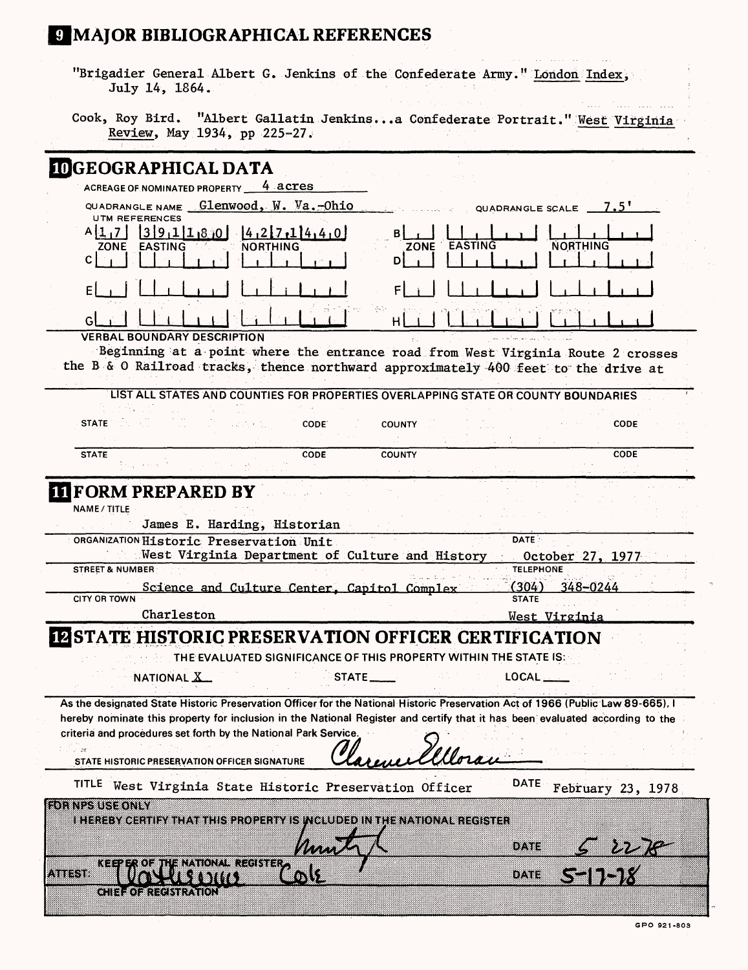# **J MAJOR BIBLIOGRAPHICAL REFERENCES**

| "Brigadier General Albert G. Jenkins of the Confederate Army." London Index,<br>July 14, 1864.                                                                                                                                                                                                                                                                                                 |                                                     |
|------------------------------------------------------------------------------------------------------------------------------------------------------------------------------------------------------------------------------------------------------------------------------------------------------------------------------------------------------------------------------------------------|-----------------------------------------------------|
| Cook, Roy Bird. "Albert Gallatin Jenkinsa Confederate Portrait." West Virginia<br>Review, May 1934, pp 225-27.                                                                                                                                                                                                                                                                                 |                                                     |
| <b>IDGEOGRAPHICAL DATA</b><br>ACREAGE OF NOMINATED PROPERTY<br>4 acres                                                                                                                                                                                                                                                                                                                         |                                                     |
| QUADRANGLE NAME $G1$ enwood, $W.$ Va. -Ohio                                                                                                                                                                                                                                                                                                                                                    |                                                     |
| <b>UTM REFERENCES</b>                                                                                                                                                                                                                                                                                                                                                                          | QUADRANGLE SCALE 7.5'                               |
| $A[1,7]$ $3[9,1]1.800$ $4.2[7,1]4,40$<br><b>EASTING</b><br><b>EASTING</b><br><b>NORTHING</b><br>ZONE<br>70NE<br>C.<br>DI                                                                                                                                                                                                                                                                       | <b>NORTHING</b>                                     |
| E                                                                                                                                                                                                                                                                                                                                                                                              |                                                     |
| н                                                                                                                                                                                                                                                                                                                                                                                              |                                                     |
| <b>VERBAL BOUNDARY DESCRIPTION</b><br>Beginning at a point where the entrance road from West Virginia Route 2 crosses                                                                                                                                                                                                                                                                          |                                                     |
| the B & O Railroad tracks, thence northward approximately 400 feet to the drive at                                                                                                                                                                                                                                                                                                             |                                                     |
| LIST ALL STATES AND COUNTIES FOR PROPERTIES OVERLAPPING STATE OR COUNTY BOUNDARIES                                                                                                                                                                                                                                                                                                             |                                                     |
| <b>STATE</b><br>CODE <sup>®</sup><br><b>COUNTY</b>                                                                                                                                                                                                                                                                                                                                             | <b>CODE</b>                                         |
| CODE<br><b>COUNTY</b><br><b>STATE</b>                                                                                                                                                                                                                                                                                                                                                          | <b>CODE</b>                                         |
| NAME / TITLE<br>James E. Harding, Historian<br>ORGANIZATION Historic Preservation Unit<br>West Virginia Department of Culture and History<br><b>STREET &amp; NUMBER</b>                                                                                                                                                                                                                        | <b>DATE</b><br>October 27, 1977<br><b>TELEPHONE</b> |
| Science and Culture Center, Capitol Complex<br><b>CITY OR TOWN</b>                                                                                                                                                                                                                                                                                                                             | (304)<br>348-0244<br><b>STATE</b>                   |
| Charleston                                                                                                                                                                                                                                                                                                                                                                                     | West Virginia                                       |
| <b>IZ STATE HISTORIC PRESERVATION OFFICER CERTIFICATION</b>                                                                                                                                                                                                                                                                                                                                    |                                                     |
| THE EVALUATED SIGNIFICANCE OF THIS PROPERTY WITHIN THE STATE IS:                                                                                                                                                                                                                                                                                                                               |                                                     |
| NATIONAL X<br>STATE_____                                                                                                                                                                                                                                                                                                                                                                       | $\mathsf{LOCAL} \_\_$                               |
| As the designated State Historic Preservation Officer for the National Historic Preservation Act of 1966 (Public Law 89-665), I<br>hereby nominate this property for inclusion in the National Register and certify that it has been evaluated according to the<br>criteria and procedures set forth by the National Park Service.<br>i il se<br>STATE HISTORIC PRESERVATION OFFICER SIGNATURE |                                                     |
| <b>TITLE</b><br>West Virginia State Historic Preservation Officer                                                                                                                                                                                                                                                                                                                              |                                                     |
|                                                                                                                                                                                                                                                                                                                                                                                                | <b>DATE</b>                                         |
| <b>HOT NESTISE ONLY</b><br>i i i shte va shi i va i i va i i ishko de shva i si va tu de sha i je va i davati sh she sh                                                                                                                                                                                                                                                                        | February 23, 1978<br>oane<br><u>s 2276</u><br>11-1X |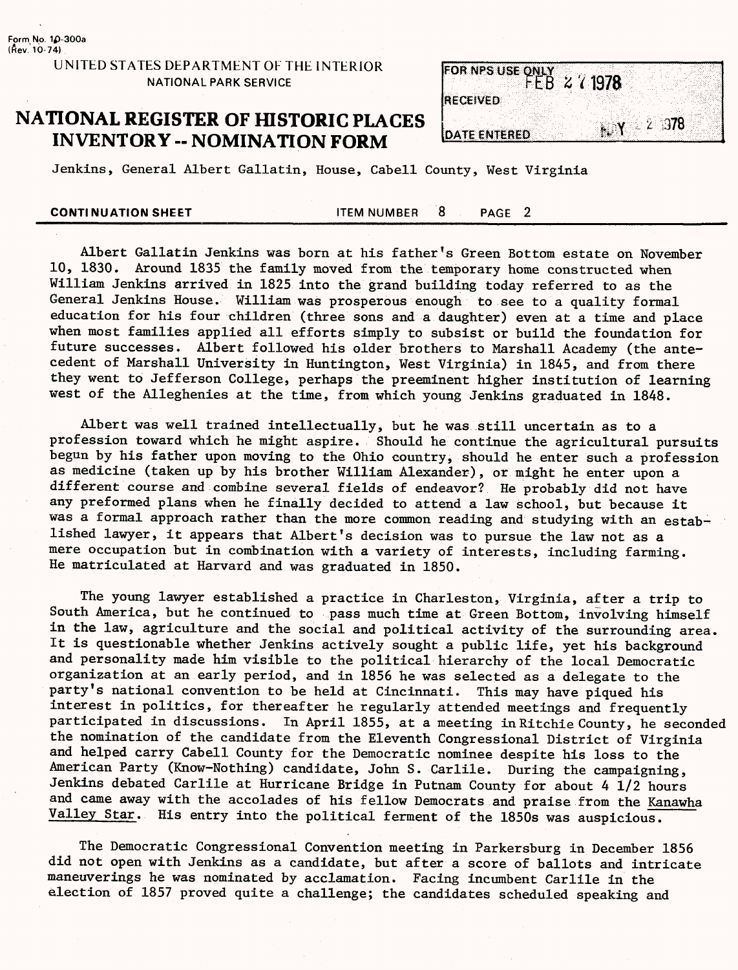## **NATIONAL REGISTER OF HISTORIC PLACES INVENTORY - NOMINATION FORM**

| FOR NPS USE ONLY 2 / 1978<br><b>RECEIVED</b><br>2,378<br><b>DATE ENTERED</b> |  |  |  |
|------------------------------------------------------------------------------|--|--|--|
|                                                                              |  |  |  |
|                                                                              |  |  |  |
|                                                                              |  |  |  |

Jenkins, General Albert Gallatin, House, Cabell County, West Virginia

**CONTINUATION SHEET THEM ITEM NUMBER**  $\overline{8}$  **PAGE 2** 

Albert Gallatin Jenkins was born at his father's Green Bottom estate on November 10, 1830. Around 1835 the family moved from the temporary home constructed when William Jenkins arrived in 1825 into the grand building today referred to as the General Jenkins House. William was prosperous enough to see to a quality formal education for his four children (three sons and a daughter) even at a time and place when most families applied all efforts simply to subsist or build the foundation for future successes. Albert followed his older brothers to Marshall Academy (the antecedent of Marshall University in Huntington, West Virginia) in 1845, and from there they went to Jefferson College, perhaps the preeminent higher institution of learning west of the Alleghenies at the time, from which young Jenkins graduated in 1848.

Albert was well trained intellectually, but he was still uncertain as to a profession toward which he might aspire. Should he continue the agricultural pursuits begun by his father upon moving to the Ohio country, should he enter such a profession as medicine (taken up by his brother William Alexander), or might he enter upon a different course and combine several fields of endeavor? He probably did not have any preformed plans when he finally decided to attend a law school, but because it was a formal approach rather than the more common reading and studying with an established lawyer, it appears that Albert's decision was to pursue the law not as a mere occupation but in combination with a variety of interests, including farming. He matriculated at Harvard and was graduated in 1850.

The young lawyer established a practice in Charleston, Virginia, after a trip to South America, but he continued to pass much time at Green Bottom, involving himself in the law, agriculture and the social and political activity of the surrounding area. It is questionable whether Jenkins actively sought a public life, yet his background and personality made him visible to the political hierarchy of the local Democratic organization at an early period, and in 1856 he was selected as a delegate to the party's national convention to be held at Cincinnati. This may have piqued his interest in politics, for thereafter he regularly attended meetings and frequently participated in discussions. In April 1855, at a meeting in Kitchie County, he seconded the nomination of the candidate from the Eleventh Congressional District of Virginia and helped carry Cabell County for the Democratic nominee despite his loss to the American Party (Know-Nothing) candidate, John S. Carlile. During the campaigning, Jenkins debated Carlile at Hurricane Bridge in Putnam County for about 4 1/2 hours and came away with the accolades of his fellow Democrats and praise from the Kanawha Valley Star. His entry into the political ferment of the 1850s was auspicious.

The Democratic Congressional Convention meeting in Parkersburg in December 1856 did not open with Jenkins as a candidate, but after a score of ballots and intricate maneuverings he was nominated by acclamation. Facing incumbent Carlile in the election of 1857 proved quite a challenge; the candidates scheduled speaking and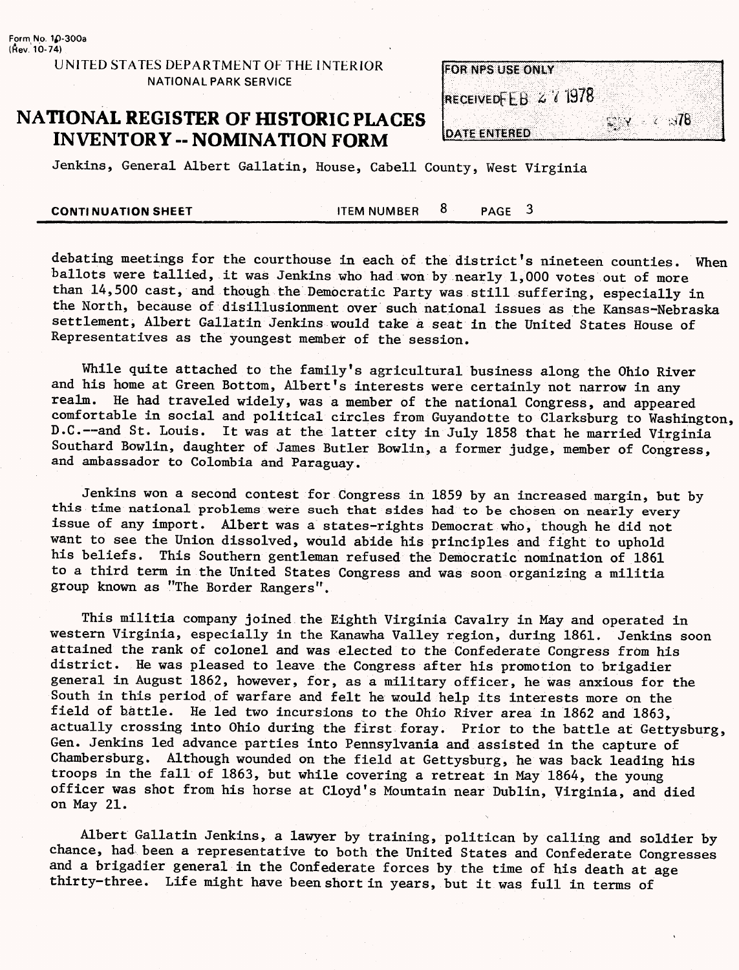## **NATIONAL REGISTER OF HISTORIC PLACES INVENTORY - NOMINATION FORM**

| <b>FOR NPS USE ONLY</b>   |  |       |                              |  |
|---------------------------|--|-------|------------------------------|--|
|                           |  |       |                              |  |
| <b>RECEIVEDFEB 271978</b> |  |       |                              |  |
|                           |  | SS V. | $\sim$ $\times$ $\sim$ $378$ |  |
| <b>DATE ENTERED</b>       |  |       |                              |  |

Jenkins, General Albert Gallatin, House, Cabell County, West Virginia

**CONTINUATION SHEET**<br>CONTINUATION SHEET

debating meetings for the courthouse in each of the district's nineteen counties. When ballots were tallied, it was Jenkins who had won by nearly 1,000 votes out of more than 14,500 cast, and though the Democratic Party was still suffering, especially in the North, because of disillusionment over such national issues as the Kansas-Nebraska settlement, Albert Gallatin Jenkins would take a seat in the United States House of Representatives as the youngest member of the session.

While quite attached to the family's agricultural business along the Ohio River and his home at Green Bottom, Albert's interests were certainly not narrow in any realm. He had traveled widely, was a member of the national Congress, and appeared comfortable in social and political circles from Guyandotte to Clarksburg to Washington, D.C.--and St. Louis. It was at the latter city in July 1858 that he married Virginia Southard Bowlin, daughter of James Butler Bowlin, a former judge, member of Congress, and ambassador to Colombia and Paraguay.

Jenkins won a second contest for Congress in 1859 by an increased margin, but by this time national problems were such that sides had to be chosen on nearly every issue of any import. Albert was a states-rights Democrat who, though he did not want to see the Union dissolved, would abide his principles and fight to uphold his beliefs. This Southern gentleman refused the Democratic nomination of 1861 to a third term in the United States Congress and was soon organizing a militia group known as "The Border Rangers".

This militia company joined the Eighth Virginia Cavalry in May and operated in western Virginia, especially in the Kanawha Valley region, during 1861. Jenkins soon attained the rank of colonel and was elected to the Confederate Congress from his district. He was pleased to leave the Congress after his promotion to brigadier general in August 1862, however, for, as a military officer, he was anxious for the South in this period of warfare and felt he would help its interests more on the field of battle. He led two incursions to the Ohio River area in 1862 and 1863, actually crossing into Ohio during the first foray. Prior to the battle at Gettysburg, Gen. Jenkins led advance parties into Pennsylvania and assisted in the capture of Chambersburg. Although wounded on the field at Gettysburg, he was back leading his troops in the fall of 1863, but while covering a retreat in May 1864, the young officer was shot from his horse at Cloyd's Mountain near Dublin, Virginia, and died on May 21.

Albert Gallatin Jenkins, a lawyer by training, politican by calling and soldier by chance, had been a representative to both the United States and Confederate Congresses and a brigadier general in the Confederate forces by the time of his death at age thirty-three. Life might have been short in years, but it was full in terms of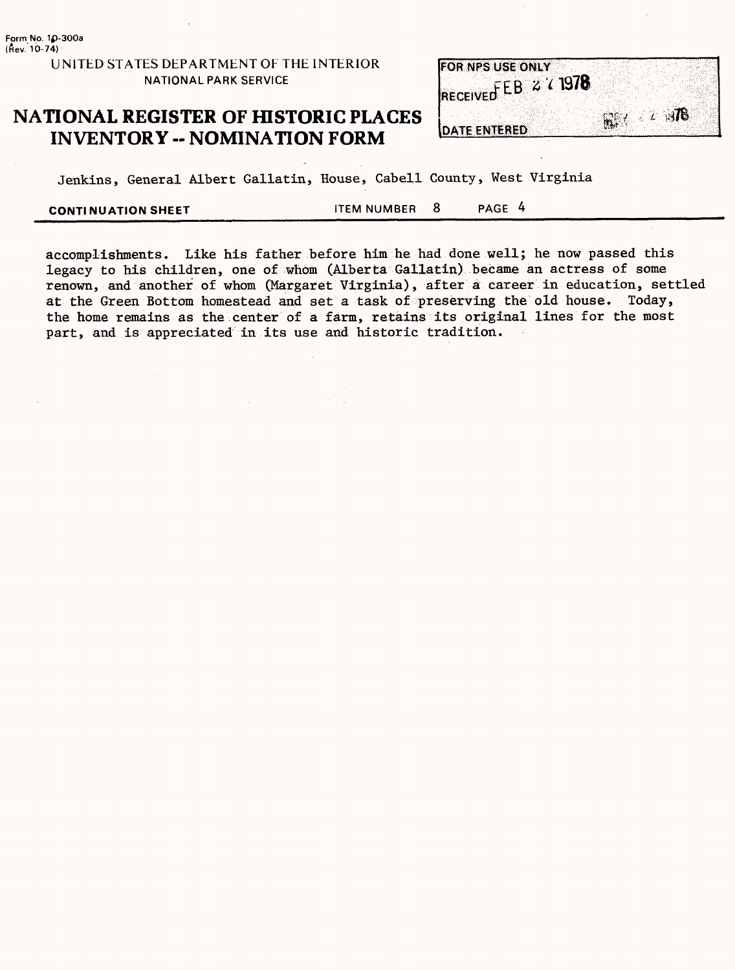## **NATIONAL REGISTER OF HISTORIC PLACES INVENTORY - NOMINATION FORM**

|                     | <b>FOR NPS USE ONLY</b> |                      |  |
|---------------------|-------------------------|----------------------|--|
|                     | RECEIVED EB & (1978     |                      |  |
|                     |                         |                      |  |
|                     |                         | $\ell$ $\mathcal{R}$ |  |
| <b>DATE ENTERED</b> |                         | m. K                 |  |

Jenkins, General Albert Gallatin, House, Cabell County, West Virginia

**CONTINUATION SHEET THEM NUMBER 8 PAGE 4** 

accomplishments. Like his father before him he had done well; he now passed this legacy to his children, one of whom (Alberta Gallatin) became an actress of some renown, and another of whom (Margaret Virginia), after a career in education, settled at the Green Bottom homestead and set a task of preserving the old house. Today, the home remains as the center of a farm, retains its original lines for the most part, and is appreciated in its use and historic tradition.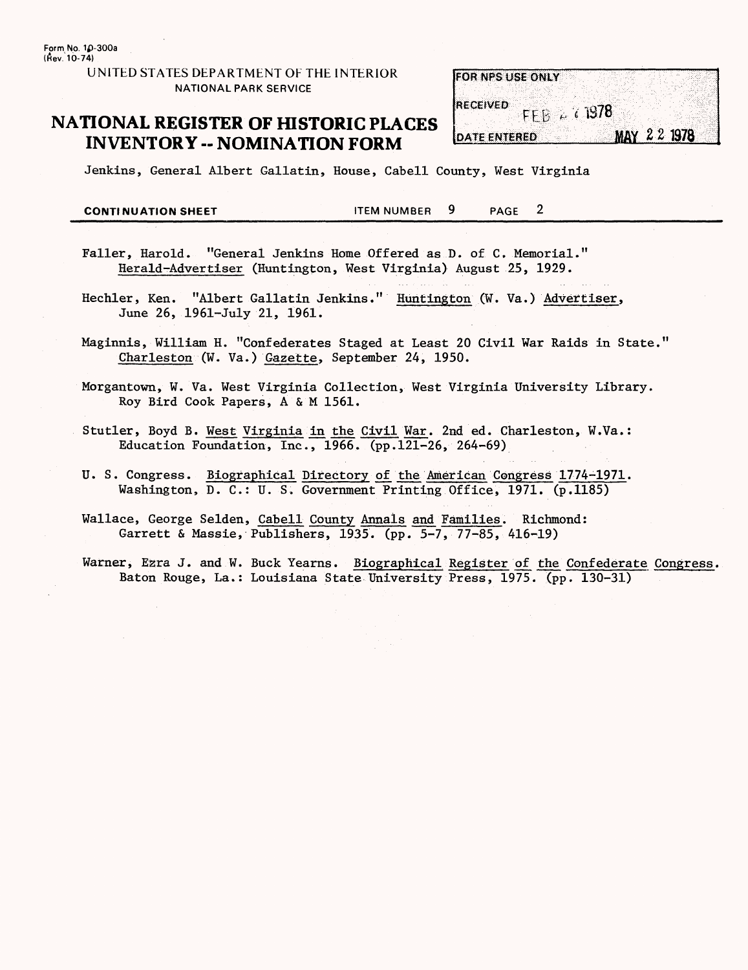## **NATIONAL REGISTER OF HISTORIC PLACES INVENTORY -- NOMINATION FORM**

| <b>FOR NPS USE ONLY</b> |                  |             |  |
|-------------------------|------------------|-------------|--|
|                         |                  |             |  |
| <b>RECEIVED</b>         |                  |             |  |
|                         | $FFB \sim 71978$ |             |  |
|                         |                  |             |  |
| <b>DATE ENTERED</b>     |                  | MAY 22 1978 |  |

Jenkins, General Albert Gallatin, House, Cabell County, West Virginia

**CONTINUATION SHEET** FOR THEM NUMBER 9 PAGE 2

- Faller, Harold. "General Jenkins Home Offered as D. of C, Memorial." Herald-Advertiser (Huntington, West Virginia) August 25, 1929.
- Hechler, Ken. "Albert Gallatin Jenkins." Huntington (W. Va.) Advertiser, June 26, 1961-July 21, 1961.
- Maginnis, William H. "Confederates Staged at Least 20 Civil War Raids in State." Charleston (W. Va.) Gazette, September 24, 1950.
- Morgantown, W. Va. West Virginia Collection, West Virginia University Library. Roy Bird Cook Papers, A & M 1561.
- Stutler, Boyd B. West Virginia in the Civil War. 2nd ed. Charleston, W.Va.: Education Foundation, Inc., 1966. (pp.121-26, 264-69)
- U. S. Congress. Biographical Directory of the American Congress 1774-1971. Washington, D. C.: U. S. Government Printing Office, 1971. (p.1185)
- Wallace, George Selden, Cabell County Annals and Families. Richmond: Garrett & Massie, Publishers, 1935. (pp. 5-7, 77-85, 416-19)
- Warner, Ezra J. and W. Buck Yearns. Biographical Register of the Confederate Congress. Baton Rouge, La.: Louisiana State University Press, 1975. (pp. 130-31)